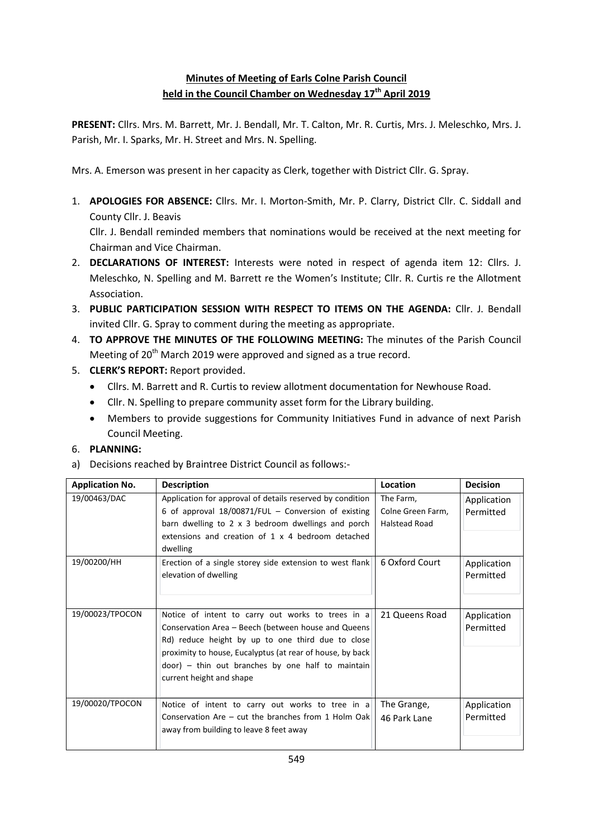# **Minutes of Meeting of Earls Colne Parish Council held in the Council Chamber on Wednesday 17th April 2019**

**PRESENT:** Cllrs. Mrs. M. Barrett, Mr. J. Bendall, Mr. T. Calton, Mr. R. Curtis, Mrs. J. Meleschko, Mrs. J. Parish, Mr. I. Sparks, Mr. H. Street and Mrs. N. Spelling.

Mrs. A. Emerson was present in her capacity as Clerk, together with District Cllr. G. Spray.

1. **APOLOGIES FOR ABSENCE:** Cllrs. Mr. I. Morton-Smith, Mr. P. Clarry, District Cllr. C. Siddall and County Cllr. J. Beavis

Cllr. J. Bendall reminded members that nominations would be received at the next meeting for Chairman and Vice Chairman.

- 2. **DECLARATIONS OF INTEREST:** Interests were noted in respect of agenda item 12: Cllrs. J. Meleschko, N. Spelling and M. Barrett re the Women's Institute; Cllr. R. Curtis re the Allotment Association.
- 3. **PUBLIC PARTICIPATION SESSION WITH RESPECT TO ITEMS ON THE AGENDA:** Cllr. J. Bendall invited Cllr. G. Spray to comment during the meeting as appropriate.
- 4. **TO APPROVE THE MINUTES OF THE FOLLOWING MEETING:** The minutes of the Parish Council Meeting of 20<sup>th</sup> March 2019 were approved and signed as a true record.
- 5. **CLERK'S REPORT:** Report provided.
	- Cllrs. M. Barrett and R. Curtis to review allotment documentation for Newhouse Road.
	- Cllr. N. Spelling to prepare community asset form for the Library building.
	- Members to provide suggestions for Community Initiatives Fund in advance of next Parish Council Meeting.

# 6. **PLANNING:**

a) Decisions reached by Braintree District Council as follows:-

| <b>Application No.</b> | <b>Description</b>                                                                                                                                                                                                                                                                                          | Location                                               | <b>Decision</b>          |
|------------------------|-------------------------------------------------------------------------------------------------------------------------------------------------------------------------------------------------------------------------------------------------------------------------------------------------------------|--------------------------------------------------------|--------------------------|
| 19/00463/DAC           | Application for approval of details reserved by condition<br>6 of approval $18/00871/FUL$ – Conversion of existing<br>barn dwelling to 2 x 3 bedroom dwellings and porch<br>extensions and creation of 1 x 4 bedroom detached<br>dwelling                                                                   | The Farm,<br>Colne Green Farm,<br><b>Halstead Road</b> | Application<br>Permitted |
| 19/00200/HH            | Erection of a single storey side extension to west flank<br>elevation of dwelling                                                                                                                                                                                                                           | 6 Oxford Court                                         | Application<br>Permitted |
| 19/00023/TPOCON        | Notice of intent to carry out works to trees in a<br>Conservation Area - Beech (between house and Queens<br>Rd) reduce height by up to one third due to close<br>proximity to house, Eucalyptus (at rear of house, by back<br>door) - thin out branches by one half to maintain<br>current height and shape | 21 Queens Road                                         | Application<br>Permitted |
| 19/00020/TPOCON        | Notice of intent to carry out works to tree in a<br>Conservation Are $-$ cut the branches from 1 Holm Oak<br>away from building to leave 8 feet away                                                                                                                                                        | The Grange,<br>46 Park Lane                            | Application<br>Permitted |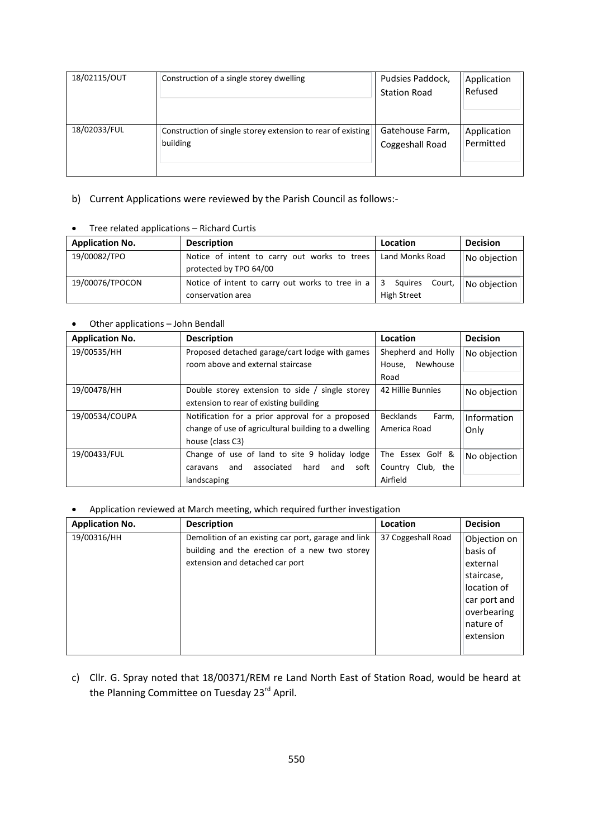| 18/02115/OUT | Construction of a single storey dwelling                    | Pudsies Paddock,<br><b>Station Road</b> | Application<br>Refused |
|--------------|-------------------------------------------------------------|-----------------------------------------|------------------------|
| 18/02033/FUL | Construction of single storey extension to rear of existing | Gatehouse Farm,                         | Application            |
|              | building                                                    | Coggeshall Road                         | Permitted              |

# b) Current Applications were reviewed by the Parish Council as follows:-

| <b>Application No.</b> | <b>Description</b>                                                     | Location                                      | <b>Decision</b> |
|------------------------|------------------------------------------------------------------------|-----------------------------------------------|-----------------|
| 19/00082/TPO           | Notice of intent to carry out works to trees<br>protected by TPO 64/00 | Land Monks Road                               | No objection    |
| 19/00076/TPOCON        | Notice of intent to carry out works to tree in a<br>conservation area  | Court.<br>-3<br>Sauires<br><b>High Street</b> | No objection    |

#### Tree related applications – Richard Curtis

#### Other applications – John Bendall

| <b>Application No.</b> | <b>Description</b>                                   | Location                  | <b>Decision</b> |
|------------------------|------------------------------------------------------|---------------------------|-----------------|
| 19/00535/HH            | Proposed detached garage/cart lodge with games       | Shepherd and Holly        | No objection    |
|                        | room above and external staircase                    | Newhouse<br>House,        |                 |
|                        |                                                      | Road                      |                 |
| 19/00478/HH            | Double storey extension to side / single storey      | 42 Hillie Bunnies         | No objection    |
|                        | extension to rear of existing building               |                           |                 |
| 19/00534/COUPA         | Notification for a prior approval for a proposed     | <b>Becklands</b><br>Farm. | Information     |
|                        | change of use of agricultural building to a dwelling | America Road              | Only            |
|                        | house (class C3)                                     |                           |                 |
| 19/00433/FUL           | Change of use of land to site 9 holiday lodge        | The Essex Golf &          | No objection    |
|                        | associated<br>hard<br>soft<br>and<br>and<br>caravans | Club, the<br>Country      |                 |
|                        | landscaping                                          | Airfield                  |                 |

#### Application reviewed at March meeting, which required further investigation

| <b>Application No.</b> | <b>Description</b>                                                                                                                      | Location           | <b>Decision</b>                                                      |
|------------------------|-----------------------------------------------------------------------------------------------------------------------------------------|--------------------|----------------------------------------------------------------------|
| 19/00316/HH            | Demolition of an existing car port, garage and link<br>building and the erection of a new two storey<br>extension and detached car port | 37 Coggeshall Road | Objection on<br>basis of<br>external<br>staircase,                   |
|                        |                                                                                                                                         |                    | location of<br>car port and<br>overbearing<br>nature of<br>extension |

c) Cllr. G. Spray noted that 18/00371/REM re Land North East of Station Road, would be heard at the Planning Committee on Tuesday 23<sup>rd</sup> April.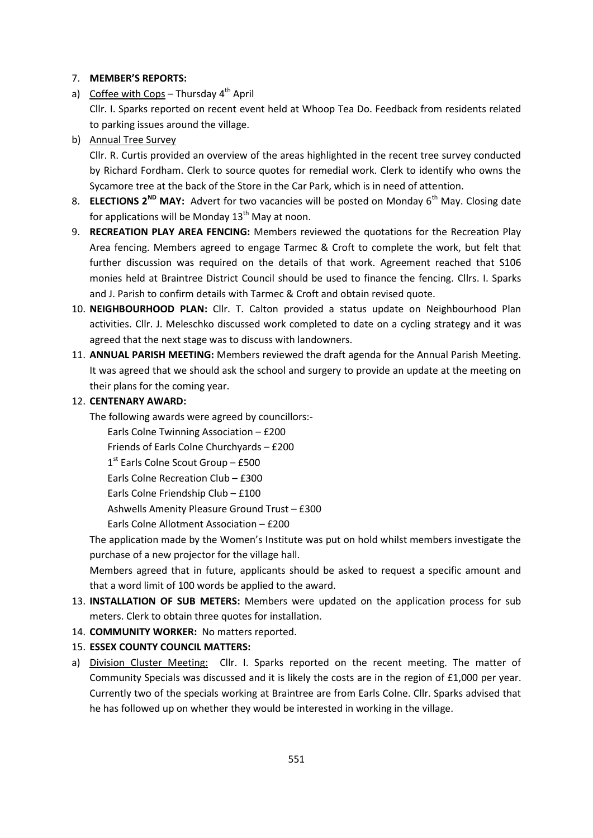### 7. **MEMBER'S REPORTS:**

- a) Coffee with Cops Thursday  $4<sup>th</sup>$  April Cllr. I. Sparks reported on recent event held at Whoop Tea Do. Feedback from residents related to parking issues around the village.
- b) Annual Tree Survey

Cllr. R. Curtis provided an overview of the areas highlighted in the recent tree survey conducted by Richard Fordham. Clerk to source quotes for remedial work. Clerk to identify who owns the Sycamore tree at the back of the Store in the Car Park, which is in need of attention.

- 8. **ELECTIONS 2<sup>ND</sup> MAY:** Advert for two vacancies will be posted on Monday 6<sup>th</sup> May. Closing date for applications will be Monday  $13<sup>th</sup>$  May at noon.
- 9. **RECREATION PLAY AREA FENCING:** Members reviewed the quotations for the Recreation Play Area fencing. Members agreed to engage Tarmec & Croft to complete the work, but felt that further discussion was required on the details of that work. Agreement reached that S106 monies held at Braintree District Council should be used to finance the fencing. Cllrs. I. Sparks and J. Parish to confirm details with Tarmec & Croft and obtain revised quote.
- 10. **NEIGHBOURHOOD PLAN:** Cllr. T. Calton provided a status update on Neighbourhood Plan activities. Cllr. J. Meleschko discussed work completed to date on a cycling strategy and it was agreed that the next stage was to discuss with landowners.
- 11. **ANNUAL PARISH MEETING:** Members reviewed the draft agenda for the Annual Parish Meeting. It was agreed that we should ask the school and surgery to provide an update at the meeting on their plans for the coming year.
- 12. **CENTENARY AWARD:**
	- The following awards were agreed by councillors:-

Earls Colne Twinning Association – £200

Friends of Earls Colne Churchyards – £200

1<sup>st</sup> Earls Colne Scout Group - £500

Earls Colne Recreation Club – £300

Earls Colne Friendship Club – £100

Ashwells Amenity Pleasure Ground Trust – £300

Earls Colne Allotment Association – £200

The application made by the Women's Institute was put on hold whilst members investigate the purchase of a new projector for the village hall.

Members agreed that in future, applicants should be asked to request a specific amount and that a word limit of 100 words be applied to the award.

- 13. **INSTALLATION OF SUB METERS:** Members were updated on the application process for sub meters. Clerk to obtain three quotes for installation.
- 14. **COMMUNITY WORKER:** No matters reported.

# 15. **ESSEX COUNTY COUNCIL MATTERS:**

a) Division Cluster Meeting: Cllr. I. Sparks reported on the recent meeting. The matter of Community Specials was discussed and it is likely the costs are in the region of £1,000 per year. Currently two of the specials working at Braintree are from Earls Colne. Cllr. Sparks advised that he has followed up on whether they would be interested in working in the village.